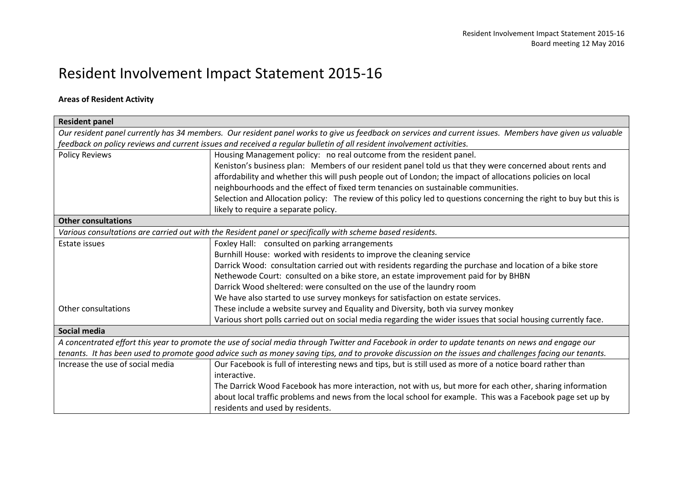## Resident Involvement Impact Statement 2015-16

## **Areas of Resident Activity**

| <b>Resident panel</b>                                                                                                                                    |                                                                                                                                                   |  |  |  |
|----------------------------------------------------------------------------------------------------------------------------------------------------------|---------------------------------------------------------------------------------------------------------------------------------------------------|--|--|--|
| Our resident panel currently has 34 members. Our resident panel works to give us feedback on services and current issues. Members have given us valuable |                                                                                                                                                   |  |  |  |
| feedback on policy reviews and current issues and received a regular bulletin of all resident involvement activities.                                    |                                                                                                                                                   |  |  |  |
| <b>Policy Reviews</b>                                                                                                                                    | Housing Management policy: no real outcome from the resident panel.                                                                               |  |  |  |
|                                                                                                                                                          | Keniston's business plan: Members of our resident panel told us that they were concerned about rents and                                          |  |  |  |
|                                                                                                                                                          | affordability and whether this will push people out of London; the impact of allocations policies on local                                        |  |  |  |
|                                                                                                                                                          | neighbourhoods and the effect of fixed term tenancies on sustainable communities.                                                                 |  |  |  |
|                                                                                                                                                          | Selection and Allocation policy: The review of this policy led to questions concerning the right to buy but this is                               |  |  |  |
|                                                                                                                                                          | likely to require a separate policy.                                                                                                              |  |  |  |
| <b>Other consultations</b>                                                                                                                               |                                                                                                                                                   |  |  |  |
|                                                                                                                                                          | Various consultations are carried out with the Resident panel or specifically with scheme based residents.                                        |  |  |  |
| Estate issues                                                                                                                                            | Foxley Hall: consulted on parking arrangements                                                                                                    |  |  |  |
|                                                                                                                                                          | Burnhill House: worked with residents to improve the cleaning service                                                                             |  |  |  |
|                                                                                                                                                          | Darrick Wood: consultation carried out with residents regarding the purchase and location of a bike store                                         |  |  |  |
|                                                                                                                                                          | Nethewode Court: consulted on a bike store, an estate improvement paid for by BHBN                                                                |  |  |  |
|                                                                                                                                                          | Darrick Wood sheltered: were consulted on the use of the laundry room                                                                             |  |  |  |
|                                                                                                                                                          | We have also started to use survey monkeys for satisfaction on estate services.                                                                   |  |  |  |
| Other consultations                                                                                                                                      | These include a website survey and Equality and Diversity, both via survey monkey                                                                 |  |  |  |
|                                                                                                                                                          | Various short polls carried out on social media regarding the wider issues that social housing currently face.                                    |  |  |  |
| Social media                                                                                                                                             |                                                                                                                                                   |  |  |  |
|                                                                                                                                                          | A concentrated effort this year to promote the use of social media through Twitter and Facebook in order to update tenants on news and engage our |  |  |  |
| tenants. It has been used to promote good advice such as money saving tips, and to provoke discussion on the issues and challenges facing our tenants.   |                                                                                                                                                   |  |  |  |
| Increase the use of social media                                                                                                                         | Our Facebook is full of interesting news and tips, but is still used as more of a notice board rather than                                        |  |  |  |
|                                                                                                                                                          | interactive.                                                                                                                                      |  |  |  |
|                                                                                                                                                          | The Darrick Wood Facebook has more interaction, not with us, but more for each other, sharing information                                         |  |  |  |
|                                                                                                                                                          | about local traffic problems and news from the local school for example. This was a Facebook page set up by                                       |  |  |  |
|                                                                                                                                                          | residents and used by residents.                                                                                                                  |  |  |  |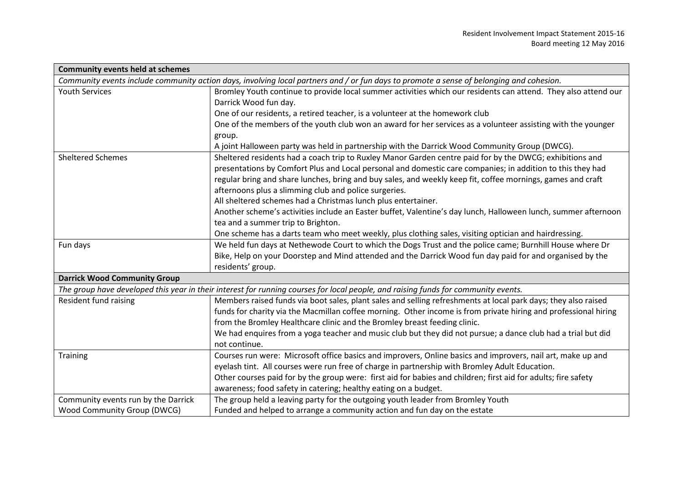| <b>Community events held at schemes</b>                                                                                                  |                                                                                                                 |  |  |  |
|------------------------------------------------------------------------------------------------------------------------------------------|-----------------------------------------------------------------------------------------------------------------|--|--|--|
| Community events include community action days, involving local partners and / or fun days to promote a sense of belonging and cohesion. |                                                                                                                 |  |  |  |
| <b>Youth Services</b>                                                                                                                    | Bromley Youth continue to provide local summer activities which our residents can attend. They also attend our  |  |  |  |
|                                                                                                                                          | Darrick Wood fun day.                                                                                           |  |  |  |
|                                                                                                                                          | One of our residents, a retired teacher, is a volunteer at the homework club                                    |  |  |  |
|                                                                                                                                          | One of the members of the youth club won an award for her services as a volunteer assisting with the younger    |  |  |  |
|                                                                                                                                          | group.                                                                                                          |  |  |  |
|                                                                                                                                          | A joint Halloween party was held in partnership with the Darrick Wood Community Group (DWCG).                   |  |  |  |
| <b>Sheltered Schemes</b>                                                                                                                 | Sheltered residents had a coach trip to Ruxley Manor Garden centre paid for by the DWCG; exhibitions and        |  |  |  |
|                                                                                                                                          | presentations by Comfort Plus and Local personal and domestic care companies; in addition to this they had      |  |  |  |
|                                                                                                                                          | regular bring and share lunches, bring and buy sales, and weekly keep fit, coffee mornings, games and craft     |  |  |  |
|                                                                                                                                          | afternoons plus a slimming club and police surgeries.                                                           |  |  |  |
|                                                                                                                                          | All sheltered schemes had a Christmas lunch plus entertainer.                                                   |  |  |  |
|                                                                                                                                          | Another scheme's activities include an Easter buffet, Valentine's day lunch, Halloween lunch, summer afternoon  |  |  |  |
|                                                                                                                                          | tea and a summer trip to Brighton.                                                                              |  |  |  |
|                                                                                                                                          | One scheme has a darts team who meet weekly, plus clothing sales, visiting optician and hairdressing.           |  |  |  |
| Fun days                                                                                                                                 | We held fun days at Nethewode Court to which the Dogs Trust and the police came; Burnhill House where Dr        |  |  |  |
|                                                                                                                                          | Bike, Help on your Doorstep and Mind attended and the Darrick Wood fun day paid for and organised by the        |  |  |  |
|                                                                                                                                          | residents' group.                                                                                               |  |  |  |
| <b>Darrick Wood Community Group</b>                                                                                                      |                                                                                                                 |  |  |  |
| The group have developed this year in their interest for running courses for local people, and raising funds for community events.       |                                                                                                                 |  |  |  |
| Resident fund raising                                                                                                                    | Members raised funds via boot sales, plant sales and selling refreshments at local park days; they also raised  |  |  |  |
|                                                                                                                                          | funds for charity via the Macmillan coffee morning. Other income is from private hiring and professional hiring |  |  |  |
|                                                                                                                                          | from the Bromley Healthcare clinic and the Bromley breast feeding clinic.                                       |  |  |  |
|                                                                                                                                          | We had enquires from a yoga teacher and music club but they did not pursue; a dance club had a trial but did    |  |  |  |
|                                                                                                                                          | not continue.                                                                                                   |  |  |  |
| Training                                                                                                                                 | Courses run were: Microsoft office basics and improvers, Online basics and improvers, nail art, make up and     |  |  |  |
|                                                                                                                                          | eyelash tint. All courses were run free of charge in partnership with Bromley Adult Education.                  |  |  |  |
|                                                                                                                                          | Other courses paid for by the group were: first aid for babies and children; first aid for adults; fire safety  |  |  |  |
|                                                                                                                                          | awareness; food safety in catering; healthy eating on a budget.                                                 |  |  |  |
| Community events run by the Darrick                                                                                                      | The group held a leaving party for the outgoing youth leader from Bromley Youth                                 |  |  |  |
| Wood Community Group (DWCG)                                                                                                              | Funded and helped to arrange a community action and fun day on the estate                                       |  |  |  |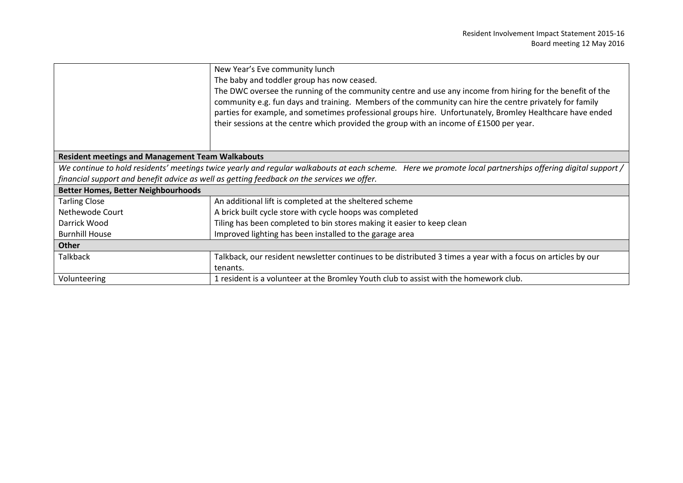|                                                                                                                                                           | New Year's Eve community lunch                                                                                                                                                                                                                                                                                                                                                                                               |  |  |  |
|-----------------------------------------------------------------------------------------------------------------------------------------------------------|------------------------------------------------------------------------------------------------------------------------------------------------------------------------------------------------------------------------------------------------------------------------------------------------------------------------------------------------------------------------------------------------------------------------------|--|--|--|
|                                                                                                                                                           | The baby and toddler group has now ceased.                                                                                                                                                                                                                                                                                                                                                                                   |  |  |  |
|                                                                                                                                                           | The DWC oversee the running of the community centre and use any income from hiring for the benefit of the<br>community e.g. fun days and training. Members of the community can hire the centre privately for family<br>parties for example, and sometimes professional groups hire. Unfortunately, Bromley Healthcare have ended<br>their sessions at the centre which provided the group with an income of £1500 per year. |  |  |  |
|                                                                                                                                                           |                                                                                                                                                                                                                                                                                                                                                                                                                              |  |  |  |
| <b>Resident meetings and Management Team Walkabouts</b>                                                                                                   |                                                                                                                                                                                                                                                                                                                                                                                                                              |  |  |  |
| We continue to hold residents' meetings twice yearly and regular walkabouts at each scheme. Here we promote local partnerships offering digital support / |                                                                                                                                                                                                                                                                                                                                                                                                                              |  |  |  |
| financial support and benefit advice as well as getting feedback on the services we offer.                                                                |                                                                                                                                                                                                                                                                                                                                                                                                                              |  |  |  |
| <b>Better Homes, Better Neighbourhoods</b>                                                                                                                |                                                                                                                                                                                                                                                                                                                                                                                                                              |  |  |  |
| <b>Tarling Close</b>                                                                                                                                      | An additional lift is completed at the sheltered scheme                                                                                                                                                                                                                                                                                                                                                                      |  |  |  |
| Nethewode Court                                                                                                                                           | A brick built cycle store with cycle hoops was completed                                                                                                                                                                                                                                                                                                                                                                     |  |  |  |
| Darrick Wood                                                                                                                                              | Tiling has been completed to bin stores making it easier to keep clean                                                                                                                                                                                                                                                                                                                                                       |  |  |  |
| <b>Burnhill House</b>                                                                                                                                     | Improved lighting has been installed to the garage area                                                                                                                                                                                                                                                                                                                                                                      |  |  |  |
| <b>Other</b>                                                                                                                                              |                                                                                                                                                                                                                                                                                                                                                                                                                              |  |  |  |
| <b>Talkback</b>                                                                                                                                           | Talkback, our resident newsletter continues to be distributed 3 times a year with a focus on articles by our                                                                                                                                                                                                                                                                                                                 |  |  |  |
|                                                                                                                                                           | tenants.                                                                                                                                                                                                                                                                                                                                                                                                                     |  |  |  |
| Volunteering                                                                                                                                              | 1 resident is a volunteer at the Bromley Youth club to assist with the homework club.                                                                                                                                                                                                                                                                                                                                        |  |  |  |